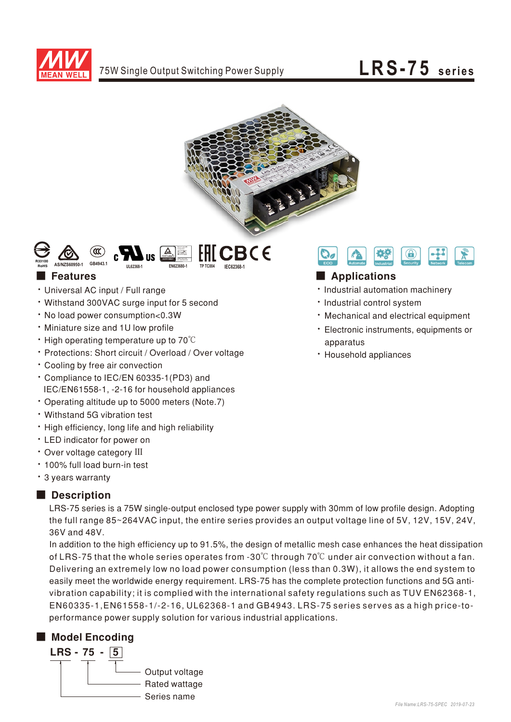





- Universal AC input / Full range
- Withstand 300VAC surge input for 5 second
- No load power consumption<0.3W
- Miniature size and 1U low profile
- High operating temperature up to  $70^{\circ}$ C
- Protections: Short circuit / Overload / Over voltage
- Cooling by free air convection
- Compliance to IEC/EN 60335-1(PD3) and IEC/EN61558-1, -2-16 for household appliances
- Operating altitude up to 5000 meters (Note.7)
- Withstand 5G vibration test
- . High efficiency, long life and high reliability
- LED indicator for power on
- Over voltage category III
- 100% full load burn-in test
- 3 years warranty

### ■ Description

LRS-75 series is a 75W single-output enclosed type power supply with 30mm of low profile design. Adopting the full range 85~264VAC input, the entire series provides an output voltage line of 5V, 12V, 15V, 24V, 36V and 48V.

easily meet the worldwide energy requirement. LRS-75 has the complete protection functions and 5G antivibration capability; it is complied with the international safety regulations such as TUV EN62368-1, In addition to the high efficiency up to 91.5%, the design of metallic mesh case enhances the heat dissipation of LRS-75 that the whole series operates from -30°C through 70°C under air convection without a fan. Delivering an extremely low no load power consumption (less than 0.3W), it allows the end system to EN60335-1, EN61558-1/-2-16, UL62368-1 and GB4943. LRS-75 series serves as a high price-toperformance power supply solution for various industrial applications.

### ■ Model Encoding





## ■ Features ■ Particular and Particular and Particular and Particular and Particular and Particular and Particular and Particular and Particular and Particular and Particular and Particular and Particular and Particular an

- · Industrial automation machinery
- · Industrial control system
- Mechanical and electrical equipment
- · Electronic instruments, equipments or apparatus
- Household appliances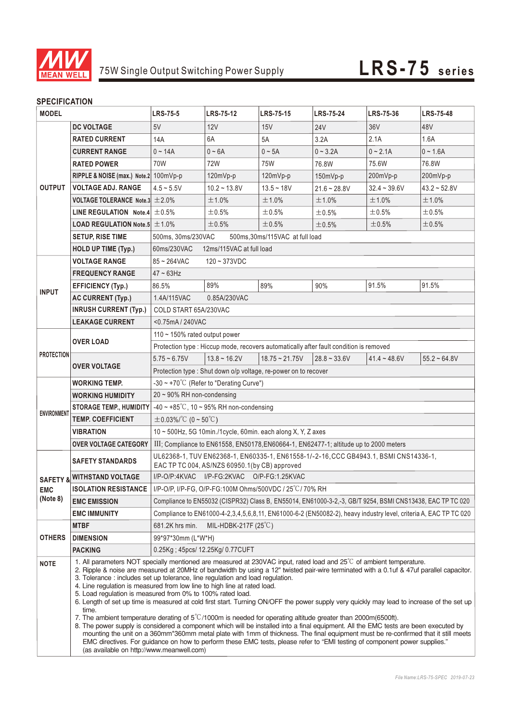

### **SPECIFICATION**

| <b>MODEL</b>                                  |                                                     | <b>LRS-75-5</b>                                                                                                                                                                                                                                                                                                                                                                                                                                                                                                                                                                                                                                                                                                                                                                                                                                                                                                                                                                                                                                                                                                                                                                                                            | <b>LRS-75-12</b>                                                | <b>LRS-75-15</b>    | <b>LRS-75-24</b> | <b>LRS-75-36</b> | <b>LRS-75-48</b> |  |
|-----------------------------------------------|-----------------------------------------------------|----------------------------------------------------------------------------------------------------------------------------------------------------------------------------------------------------------------------------------------------------------------------------------------------------------------------------------------------------------------------------------------------------------------------------------------------------------------------------------------------------------------------------------------------------------------------------------------------------------------------------------------------------------------------------------------------------------------------------------------------------------------------------------------------------------------------------------------------------------------------------------------------------------------------------------------------------------------------------------------------------------------------------------------------------------------------------------------------------------------------------------------------------------------------------------------------------------------------------|-----------------------------------------------------------------|---------------------|------------------|------------------|------------------|--|
| <b>OUTPUT</b>                                 | <b>DC VOLTAGE</b>                                   | 5V                                                                                                                                                                                                                                                                                                                                                                                                                                                                                                                                                                                                                                                                                                                                                                                                                                                                                                                                                                                                                                                                                                                                                                                                                         | 12V                                                             | 15V                 | <b>24V</b>       | 36V              | 48V              |  |
|                                               | <b>RATED CURRENT</b>                                | 14A                                                                                                                                                                                                                                                                                                                                                                                                                                                                                                                                                                                                                                                                                                                                                                                                                                                                                                                                                                                                                                                                                                                                                                                                                        | 6A                                                              | 5A                  | 3.2A             | 2.1A             | 1.6A             |  |
|                                               | <b>CURRENT RANGE</b>                                | $0 - 14A$                                                                                                                                                                                                                                                                                                                                                                                                                                                                                                                                                                                                                                                                                                                                                                                                                                                                                                                                                                                                                                                                                                                                                                                                                  | $0 - 6A$                                                        | $0 \sim 5A$         | $0 - 3.2A$       | $0 - 2.1A$       | $0 - 1.6A$       |  |
|                                               | <b>RATED POWER</b>                                  | 70W                                                                                                                                                                                                                                                                                                                                                                                                                                                                                                                                                                                                                                                                                                                                                                                                                                                                                                                                                                                                                                                                                                                                                                                                                        | 72W                                                             | 75W                 | 76.8W            | 75.6W            | 76.8W            |  |
|                                               | RIPPLE & NOISE (max.) Note.2 100mVp-p               |                                                                                                                                                                                                                                                                                                                                                                                                                                                                                                                                                                                                                                                                                                                                                                                                                                                                                                                                                                                                                                                                                                                                                                                                                            | 120mVp-p                                                        | 120mVp-p            | 150mVp-p         | 200mVp-p         | 200mVp-p         |  |
|                                               | <b>VOLTAGE ADJ. RANGE</b>                           | $4.5 - 5.5V$                                                                                                                                                                                                                                                                                                                                                                                                                                                                                                                                                                                                                                                                                                                                                                                                                                                                                                                                                                                                                                                                                                                                                                                                               | $10.2 - 13.8V$                                                  | $13.5 - 18V$        | $21.6 - 28.8V$   | $32.4 - 39.6V$   | $43.2 - 52.8V$   |  |
|                                               | VOLTAGE TOLERANCE Note.3 $\pm$ 2.0%                 |                                                                                                                                                                                                                                                                                                                                                                                                                                                                                                                                                                                                                                                                                                                                                                                                                                                                                                                                                                                                                                                                                                                                                                                                                            | ±1.0%                                                           | ±1.0%               | ±1.0%            | ±1.0%            | ±1.0%            |  |
|                                               | LINE REGULATION Note.4 $\pm$ 0.5%                   |                                                                                                                                                                                                                                                                                                                                                                                                                                                                                                                                                                                                                                                                                                                                                                                                                                                                                                                                                                                                                                                                                                                                                                                                                            | $\pm$ 0.5%                                                      | ±0.5%               | ±0.5%            | $\pm 0.5\%$      | $\pm 0.5\%$      |  |
|                                               | <b>LOAD REGULATION Note.5 <math>\pm</math> 1.0%</b> |                                                                                                                                                                                                                                                                                                                                                                                                                                                                                                                                                                                                                                                                                                                                                                                                                                                                                                                                                                                                                                                                                                                                                                                                                            | ±0.5%                                                           | ±0.5%               | ±0.5%            | $\pm 0.5\%$      | ±0.5%            |  |
|                                               | <b>SETUP, RISE TIME</b>                             | 500ms, 30ms/230VAC<br>500ms, 30ms/115VAC at full load                                                                                                                                                                                                                                                                                                                                                                                                                                                                                                                                                                                                                                                                                                                                                                                                                                                                                                                                                                                                                                                                                                                                                                      |                                                                 |                     |                  |                  |                  |  |
|                                               | <b>HOLD UP TIME (Typ.)</b>                          | 60ms/230VAC<br>12ms/115VAC at full load                                                                                                                                                                                                                                                                                                                                                                                                                                                                                                                                                                                                                                                                                                                                                                                                                                                                                                                                                                                                                                                                                                                                                                                    |                                                                 |                     |                  |                  |                  |  |
| <b>INPUT</b>                                  | <b>VOLTAGE RANGE</b>                                | 85~264VAC<br>$120 - 373$ VDC                                                                                                                                                                                                                                                                                                                                                                                                                                                                                                                                                                                                                                                                                                                                                                                                                                                                                                                                                                                                                                                                                                                                                                                               |                                                                 |                     |                  |                  |                  |  |
|                                               | <b>FREQUENCY RANGE</b>                              | $47 - 63$ Hz                                                                                                                                                                                                                                                                                                                                                                                                                                                                                                                                                                                                                                                                                                                                                                                                                                                                                                                                                                                                                                                                                                                                                                                                               |                                                                 |                     |                  |                  |                  |  |
|                                               | <b>EFFICIENCY (Typ.)</b>                            | 86.5%                                                                                                                                                                                                                                                                                                                                                                                                                                                                                                                                                                                                                                                                                                                                                                                                                                                                                                                                                                                                                                                                                                                                                                                                                      | 89%                                                             | 89%                 | 90%              | 91.5%            | 91.5%            |  |
|                                               | <b>AC CURRENT (Typ.)</b>                            | 1.4A/115VAC                                                                                                                                                                                                                                                                                                                                                                                                                                                                                                                                                                                                                                                                                                                                                                                                                                                                                                                                                                                                                                                                                                                                                                                                                | 0.85A/230VAC                                                    |                     |                  |                  |                  |  |
|                                               | <b>INRUSH CURRENT (Typ.)</b>                        | COLD START 65A/230VAC                                                                                                                                                                                                                                                                                                                                                                                                                                                                                                                                                                                                                                                                                                                                                                                                                                                                                                                                                                                                                                                                                                                                                                                                      |                                                                 |                     |                  |                  |                  |  |
|                                               | <b>LEAKAGE CURRENT</b>                              | <0.75mA/240VAC                                                                                                                                                                                                                                                                                                                                                                                                                                                                                                                                                                                                                                                                                                                                                                                                                                                                                                                                                                                                                                                                                                                                                                                                             |                                                                 |                     |                  |                  |                  |  |
|                                               | <b>OVER LOAD</b>                                    | 110 $\sim$ 150% rated output power                                                                                                                                                                                                                                                                                                                                                                                                                                                                                                                                                                                                                                                                                                                                                                                                                                                                                                                                                                                                                                                                                                                                                                                         |                                                                 |                     |                  |                  |                  |  |
|                                               |                                                     | Protection type : Hiccup mode, recovers automatically after fault condition is removed                                                                                                                                                                                                                                                                                                                                                                                                                                                                                                                                                                                                                                                                                                                                                                                                                                                                                                                                                                                                                                                                                                                                     |                                                                 |                     |                  |                  |                  |  |
| <b>PROTECTION</b>                             | <b>OVER VOLTAGE</b>                                 | $5.75 - 6.75V$                                                                                                                                                                                                                                                                                                                                                                                                                                                                                                                                                                                                                                                                                                                                                                                                                                                                                                                                                                                                                                                                                                                                                                                                             | $13.8 - 16.2V$                                                  | $18.75 \sim 21.75V$ | $28.8 - 33.6V$   | $41.4 - 48.6V$   | $55.2 - 64.8V$   |  |
|                                               |                                                     |                                                                                                                                                                                                                                                                                                                                                                                                                                                                                                                                                                                                                                                                                                                                                                                                                                                                                                                                                                                                                                                                                                                                                                                                                            | Protection type : Shut down o/p voltage, re-power on to recover |                     |                  |                  |                  |  |
|                                               | <b>WORKING TEMP.</b>                                | $-30 \sim +70^{\circ}$ C (Refer to "Derating Curve")                                                                                                                                                                                                                                                                                                                                                                                                                                                                                                                                                                                                                                                                                                                                                                                                                                                                                                                                                                                                                                                                                                                                                                       |                                                                 |                     |                  |                  |                  |  |
| <b>ENVIRONMENT</b>                            | <b>WORKING HUMIDITY</b>                             | $20 \sim 90\%$ RH non-condensing                                                                                                                                                                                                                                                                                                                                                                                                                                                                                                                                                                                                                                                                                                                                                                                                                                                                                                                                                                                                                                                                                                                                                                                           |                                                                 |                     |                  |                  |                  |  |
|                                               | <b>STORAGE TEMP., HUMIDITY</b>                      | $-40 \sim +85^{\circ}$ C, 10 ~ 95% RH non-condensing                                                                                                                                                                                                                                                                                                                                                                                                                                                                                                                                                                                                                                                                                                                                                                                                                                                                                                                                                                                                                                                                                                                                                                       |                                                                 |                     |                  |                  |                  |  |
|                                               | <b>TEMP. COEFFICIENT</b>                            | $\pm$ 0.03%/°C (0 ~ 50°C)                                                                                                                                                                                                                                                                                                                                                                                                                                                                                                                                                                                                                                                                                                                                                                                                                                                                                                                                                                                                                                                                                                                                                                                                  |                                                                 |                     |                  |                  |                  |  |
|                                               | VIBRATION                                           | $10 \sim 500$ Hz, 5G 10min./1cycle, 60min. each along X, Y, Z axes                                                                                                                                                                                                                                                                                                                                                                                                                                                                                                                                                                                                                                                                                                                                                                                                                                                                                                                                                                                                                                                                                                                                                         |                                                                 |                     |                  |                  |                  |  |
|                                               | <b>OVER VOLTAGE CATEGORY</b>                        | III; Compliance to EN61558, EN50178, EN60664-1, EN62477-1; altitude up to 2000 meters                                                                                                                                                                                                                                                                                                                                                                                                                                                                                                                                                                                                                                                                                                                                                                                                                                                                                                                                                                                                                                                                                                                                      |                                                                 |                     |                  |                  |                  |  |
|                                               | <b>SAFETY STANDARDS</b>                             | UL62368-1, TUV EN62368-1, EN60335-1, EN61558-1/-2-16, CCC GB4943.1, BSMI CNS14336-1,<br>EAC TP TC 004, AS/NZS 60950.1(by CB) approved                                                                                                                                                                                                                                                                                                                                                                                                                                                                                                                                                                                                                                                                                                                                                                                                                                                                                                                                                                                                                                                                                      |                                                                 |                     |                  |                  |                  |  |
| <b>SAFETY &amp;</b><br><b>EMC</b><br>(Note 8) | <b>WITHSTAND VOLTAGE</b>                            | I/P-O/P:4KVAC I/P-FG:2KVAC O/P-FG:1.25KVAC                                                                                                                                                                                                                                                                                                                                                                                                                                                                                                                                                                                                                                                                                                                                                                                                                                                                                                                                                                                                                                                                                                                                                                                 |                                                                 |                     |                  |                  |                  |  |
|                                               |                                                     | ISOLATION RESISTANCE   I/P-O/P, I/P-FG, O/P-FG:100M Ohms/500VDC / 25°C/70% RH                                                                                                                                                                                                                                                                                                                                                                                                                                                                                                                                                                                                                                                                                                                                                                                                                                                                                                                                                                                                                                                                                                                                              |                                                                 |                     |                  |                  |                  |  |
|                                               | <b>EMC EMISSION</b>                                 | Compliance to EN55032 (CISPR32) Class B, EN55014, EN61000-3-2,-3, GB/T 9254, BSMI CNS13438, EAC TP TC 020                                                                                                                                                                                                                                                                                                                                                                                                                                                                                                                                                                                                                                                                                                                                                                                                                                                                                                                                                                                                                                                                                                                  |                                                                 |                     |                  |                  |                  |  |
|                                               | <b>EMC IMMUNITY</b>                                 | Compliance to EN61000-4-2,3,4,5,6,8,11, EN61000-6-2 (EN50082-2), heavy industry level, criteria A, EAC TP TC 020                                                                                                                                                                                                                                                                                                                                                                                                                                                                                                                                                                                                                                                                                                                                                                                                                                                                                                                                                                                                                                                                                                           |                                                                 |                     |                  |                  |                  |  |
| <b>OTHERS</b>                                 | <b>MTBF</b>                                         | 681.2K hrs min.<br>MIL-HDBK-217F $(25^{\circ}C)$                                                                                                                                                                                                                                                                                                                                                                                                                                                                                                                                                                                                                                                                                                                                                                                                                                                                                                                                                                                                                                                                                                                                                                           |                                                                 |                     |                  |                  |                  |  |
|                                               | <b>DIMENSION</b>                                    | 99*97*30mm (L*W*H)                                                                                                                                                                                                                                                                                                                                                                                                                                                                                                                                                                                                                                                                                                                                                                                                                                                                                                                                                                                                                                                                                                                                                                                                         |                                                                 |                     |                  |                  |                  |  |
|                                               | <b>PACKING</b>                                      | 0.25Kg; 45pcs/ 12.25Kg/ 0.77CUFT                                                                                                                                                                                                                                                                                                                                                                                                                                                                                                                                                                                                                                                                                                                                                                                                                                                                                                                                                                                                                                                                                                                                                                                           |                                                                 |                     |                  |                  |                  |  |
| <b>NOTE</b>                                   | time.                                               | 1. All parameters NOT specially mentioned are measured at 230VAC input, rated load and 25°C of ambient temperature.<br>2. Ripple & noise are measured at 20MHz of bandwidth by using a 12" twisted pair-wire terminated with a 0.1uf & 47uf parallel capacitor.<br>3. Tolerance: includes set up tolerance, line regulation and load regulation.<br>4. Line regulation is measured from low line to high line at rated load.<br>5. Load regulation is measured from 0% to 100% rated load.<br>6. Length of set up time is measured at cold first start. Turning ON/OFF the power supply very quickly may lead to increase of the set up<br>7. The ambient temperature derating of $5^{\circ}$ (1000m is needed for operating altitude greater than 2000m(6500ft).<br>8. The power supply is considered a component which will be installed into a final equipment. All the EMC tests are been executed by<br>mounting the unit on a 360mm*360mm metal plate with 1mm of thickness. The final equipment must be re-confirmed that it still meets<br>EMC directives. For guidance on how to perform these EMC tests, please refer to "EMI testing of component power supplies."<br>(as available on http://www.meanwell.com) |                                                                 |                     |                  |                  |                  |  |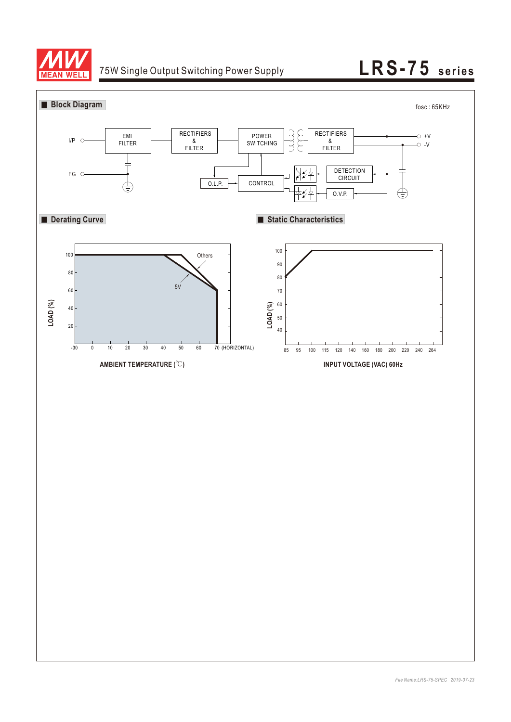

# 75W Single Output Switching Power Supply **LRS-75** series